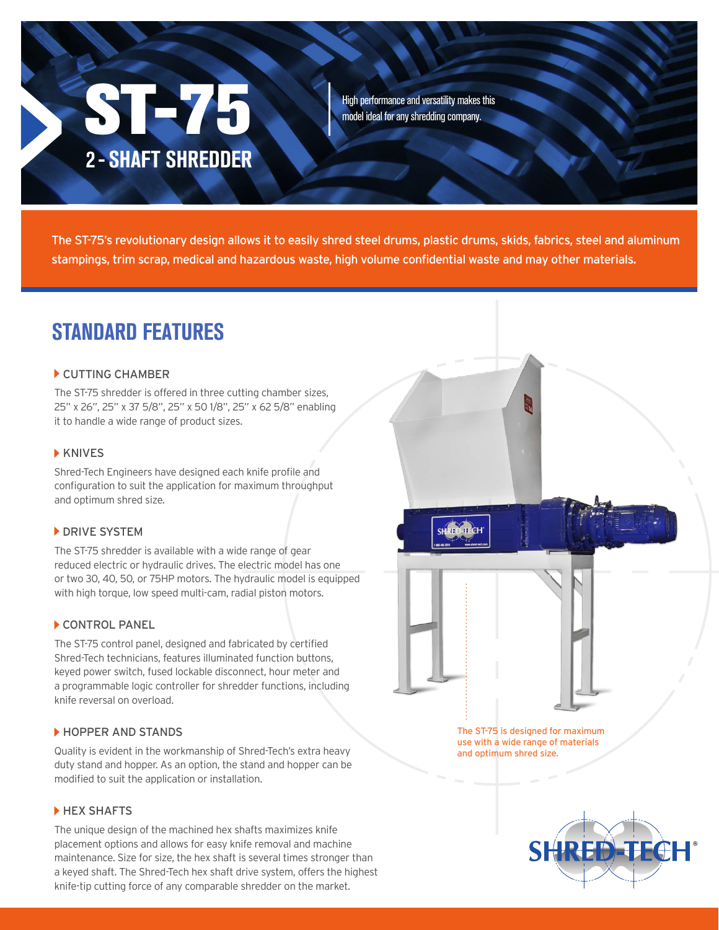# **ST-75** 2 - SHAFT SHREDDER

High performance and versatility makes this model ideal for any shredding company.

The ST-75's revolutionary design allows it to easily shred steel drums, plastic drums, skids, fabrics, steel and aluminum stampings, trim scrap, medical and hazardous waste, high volume confidential waste and may other materials.

### STANDARD FEATURES

#### CUTTING CHAMBER

The ST-75 shredder is offered in three cutting chamber sizes, 25" x 26", 25" x 37 5/8", 25" x 50 1/8", 25" x 62 5/8" enabling it to handle a wide range of product sizes.

#### **KNIVES**

Shred-Tech Engineers have designed each knife profile and configuration to suit the application for maximum throughput and optimum shred size.

#### **DRIVE SYSTEM**

The ST-75 shredder is available with a wide range of gear reduced electric or hydraulic drives. The electric model has one or two 30, 40, 50, or 75HP motors. The hydraulic model is equipped with high torque, low speed multi-cam, radial piston motors.

#### CONTROL PANEL

The ST-75 control panel, designed and fabricated by certified Shred-Tech technicians, features illuminated function buttons, keyed power switch, fused lockable disconnect, hour meter and a programmable logic controller for shredder functions, including knife reversal on overload.

#### HOPPER AND STANDS

Quality is evident in the workmanship of Shred-Tech's extra heavy duty stand and hopper. As an option, the stand and hopper can be modified to suit the application or installation.

#### HEX SHAFTS

The unique design of the machined hex shafts maximizes knife placement options and allows for easy knife removal and machine maintenance. Size for size, the hex shaft is several times stronger than a keyed shaft. The Shred-Tech hex shaft drive system, offers the highest knife-tip cutting force of any comparable shredder on the market.

SHRED-FECHT The ST-75 is designed for maximum use with a wide range of materials and optimum shred size.